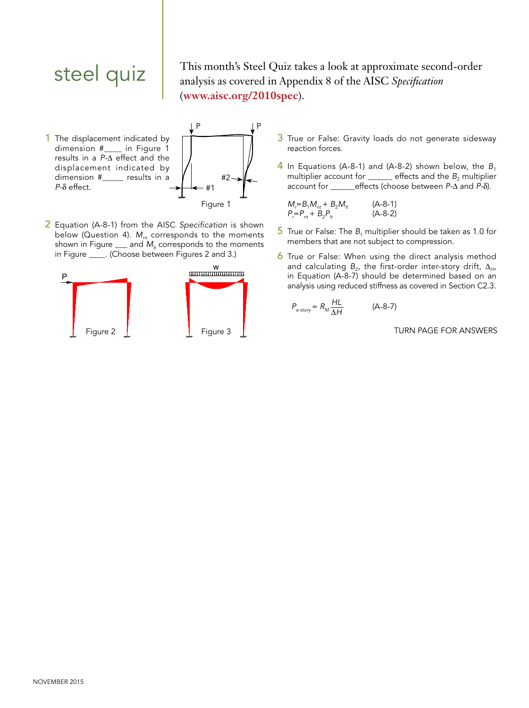steel quiz

This month's Steel Quiz takes a look at approximate second-order analysis as covered in Appendix 8 of the AISC *Specification* (**www.aisc.org/2010spec**).

1 The displacement indicated by dimension #\_\_\_\_ in Figure 1 results in a *P*- $\Delta$  effect and the displacement indicated by dimension #\_\_\_\_\_ results in a  $P-\delta$  effect.



2 Equation (A-8-1) from the AISC *Specification* is shown below (Question 4). *M<sub>nt</sub>* corresponds to the moments shown in Figure  $\frac{1}{2}$  and  $M_h$  corresponds to the moments in Figure \_\_\_\_. (Choose between Figures 2 and 3.)



- 3 True or False: Gravity loads do not generate sidesway reaction forces.  $\parallel$   $\parallel$ 
	- 4 In Equations (A-8-1) and (A-8-2) shown below, the  $B_1$ multiplier account for  $\frac{1}{2}$  effects and the  $B_2$  multiplier account for \_\_\_\_\_\_effects (choose between *P*- $\Delta$  and *P*- $\delta$ ).

$$
M_r = B_1 M_{nt} + B_2 M_{lt}
$$
 (A-8-1)  
\n
$$
P_r = P_{nt} + B_2 P_{lt}
$$
 (A-8-2)

- $5$  True or False: The  $B_1$  multiplier should be taken as 1.0 for members that are not subject to compression.
- 6 True or False: When using the direct analysis method and calculating  $B_{2}$ , the first-order inter-story drift,  $\Delta_{H}$ , in Equation (A-8-7) should be determined based on an analysis using reduced stiffness as covered in Section C2.3.

$$
P_{\text{e story}} = R_M \frac{HL}{\Delta H} \tag{A-8-7}
$$

TURN PAGE FOR ANSWERS